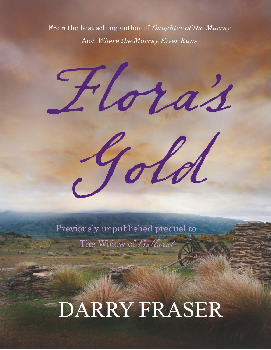From the best selling author of *Daughter of the Murray* And Where the Murray River Runs

Floras Gold

Previously unpublished prequel to The Widow of Ballarat

## DARRY FRASER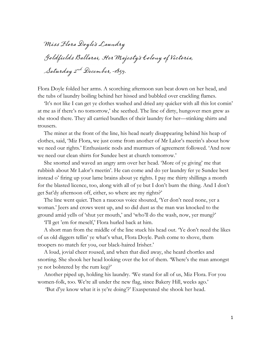Miss Flora Doyle's Laundry Goldfields Ballarai, Her Majesty's Colony of Victoria, Saturday 2nd December, 1854.

Flora Doyle folded her arms. A scorching afternoon sun beat down on her head, and the tubs of laundry boiling behind her hissed and bubbled over crackling flames.

'It's not like I can get ye clothes washed and dried any quicker with all this lot comin' at me as if there's no tomorrow,' she seethed. The line of dirty, hungover men grew as she stood there. They all carried bundles of their laundry for her—stinking shirts and trousers.

The miner at the front of the line, his head nearly disappearing behind his heap of clothes, said, 'Miz Flora, we just come from another of Mr Lalor's meetin's about how we need our rights.' Enthusiastic nods and murmurs of agreement followed. 'And now we need our clean shirts for Sundee best at church tomorrow.'

She snorted and waved an angry arm over her head. 'More of ye giving' me that rubbish about Mr Lalor's meetin'. He can come and do yer laundry fer ye Sundee best instead o' firing up your lame brains about ye rights. I pay me thirty shillings a month for the blasted licence, too, along with all of ye but I don't burn the thing. And I don't get Sat'dy afternoon off, either, so where are my rights?'

The line went quiet. Then a raucous voice shouted, 'Yer don't need none, yer a woman.' Jeers and crows went up, and so did dust as the man was knocked to the ground amid yells of 'shut yer mouth,' and 'who'll do the wash, now, yer mung?'

'I'll get 'em for meself,' Flora hurled back at him.

A short man from the middle of the line stuck his head out. 'Ye don't need the likes of us old diggers tellin' ye what's what, Flora Doyle. Push come to shove, them troopers no match fer you, our black-haired Irisher.'

A loud, jovial cheer roused, and when that died away, she heard chortles and snorting. She shook her head looking over the lot of them. 'Where's the man amongst ye not bolstered by the rum keg?'

Another piped up, holding his laundry. 'We stand for all of us, Miz Flora. For you women-folk, too. We're all under the new flag, since Bakery Hill, weeks ago.'

'But d'ye know what it is ye're doing'?' Exasperated she shook her head.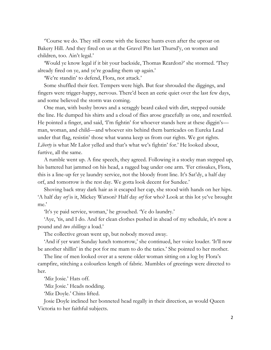''Course we do. They still come with the licence hunts even after the uproar on Bakery Hill. And they fired on us at the Gravel Pits last Thursd'y, on women and children, too. Ain't legal.'

'Would ye know legal if it bit your backside, Thomas Reardon?' she stormed. 'They already fired on ye, and ye're goading them up again.'

'We're standin' to defend, Flora, not attack.'

Some shuffled their feet. Tempers were high. But fear shrouded the diggings, and fingers were trigger-happy, nervous. There'd been an eerie quiet over the last few days, and some believed the storm was coming.

One man, with bushy brows and a scraggly beard caked with dirt, stepped outside the line. He dumped his shirts and a cloud of flies arose gracefully as one, and resettled. He pointed a finger, and said, 'I'm fightin' for whoever stands here at these diggin's man, woman, and child—and whoever sits behind them barricades on Eureka Lead under that flag, resistin' those what wanna keep us from our rights. We got rights. *Liberty* is what Mr Lalor yelled and that's what we's fightin' for.' He looked about, furtive, all the same.

A rumble went up. A fine speech, they agreed. Following it a stocky man stepped up, his battered hat jammed on his head, a ragged bag under one arm. 'Fer crissakes, Flora, this is a line-up fer ye laundry service, not the bloody front line. It's Sat'dy, a half day orf, and tomorrow is the rest day. We gotta look decent for Sundee.'

Shoving back stray dark hair as it escaped her cap, she stood with hands on her hips. 'A half day *orf* is it, Mickey Watson? Half day *orf* for who? Look at this lot ye've brought me.'

'It's ye paid service, woman,' he grouched. 'Ye do laundry.'

'Aye, 'tis, and I do. And fer clean clothes pushed in ahead of my schedule, it's now a pound and *two shillings* a load.'

The collective groan went up, but nobody moved away.

'And if yer want Sunday lunch tomorrow,' she continued, her voice louder. 'It'll now be another shillin' in the pot for me mam to do the taties.' She pointed to her mother.

The line of men looked over at a serene older woman sitting on a log by Flora's campfire, stitching a colourless length of fabric. Mumbles of greetings were directed to her.

'Miz Josie.' Hats off.

'Miz Josie.' Heads nodding.

'Miz Doyle.' Chins lifted.

Josie Doyle inclined her bonneted head regally in their direction, as would Queen Victoria to her faithful subjects.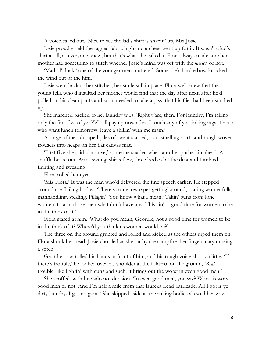A voice called out. 'Nice to see the lad's shirt is shapin' up, Miz Josie.'

Josie proudly held the ragged fabric high and a cheer went up for it. It wasn't a lad's shirt at all, as everyone knew, but that's what she called it. Flora always made sure her mother had something to stitch whether Josie's mind was off with the *faeries*, or not.

'Mad ol' duck,' one of the younger men muttered. Someone's hard elbow knocked the wind out of the him.

Josie went back to her stitches, her smile still in place. Flora well knew that the young fella who'd insulted her mother would find that the day after next, after he'd pulled on his clean pants and soon needed to take a piss, that his flies had been stitched up.

She marched backed to her laundry tubs. 'Right y'are, then. For laundry, I'm taking only the first five of ye. Ye'll all pay up now afore I touch any of ye stinking rags. Those who want lunch tomorrow, leave a shillin' with me mam.'

A surge of men dumped piles of sweat stained, sour smelling shirts and rough woven trousers into heaps on her flat canvas mat.

'First five she said, damn ye,' someone snarled when another pushed in ahead. A scuffle broke out. Arms swung, shirts flew, three bodies bit the dust and tumbled, fighting and swearing.

Flora rolled her eyes.

'Miz Flora.' It was the man who'd delivered the fine speech earlier. He stepped around the flailing bodies. 'There's some low types getting' around, scaring womenfolk, manhandling, stealing. Pillagin'. You know what I mean? Takin' guns from lone women, to arm those men what don't have any. This ain't a good time for women to be in the thick of it.'

Flora stared at him. 'What do you mean, Geordie, not a good time for women to be in the thick of it? Where'd you think us women would be?'

The three on the ground grunted and rolled and kicked as the others urged them on. Flora shook her head. Josie chortled as she sat by the campfire, her fingers nary missing a stitch.

Geordie now rolled his hands in front of him, and his rough voice shook a little. 'If there's trouble,' he looked over his shoulder at the folderol on the ground, '*Real* trouble, like fightin' with guns and such, it brings out the worst in even good men.'

She scoffed, with bravado not derision. 'In even good men, you say? Worst is worst, good men or not. And I'm half a mile from that Eureka Lead barricade. All I got is ye dirty laundry. I got no guns.' She skipped aside as the roiling bodies skewed her way.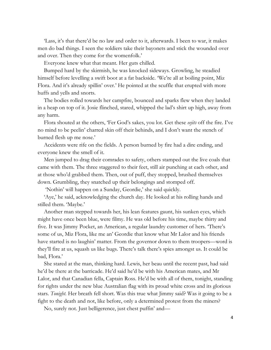'Lass, it's that there'd be no law and order to it, afterwards. I been to war, it makes men do bad things. I seen the soldiers take their bayonets and stick the wounded over and over. Then they come for the womenfolk.'

Everyone knew what that meant. Her guts chilled.

Bumped hard by the skirmish, he was knocked sideways. Growling, he steadied himself before levelling a swift boot at a fat backside. 'We're all at boiling point, Miz Flora. And it's already spillin' over.' He pointed at the scuffle that erupted with more huffs and yells and snorts.

The bodies rolled towards her campfire, bounced and sparks flew when they landed in a heap on top of it. Josie flinched, stared, whipped the lad's shirt up high, away from any harm.

Flora shouted at the others, 'Fer God's sakes, you lot. Get these *eejits* off the fire. I've no mind to be peelin' charred skin off their behinds, and I don't want the stench of burned flesh up me nose.'

Accidents were rife on the fields. A person burned by fire had a dire ending, and everyone knew the smell of it.

Men jumped to drag their comrades to safety, others stamped out the live coals that came with them. The three staggered to their feet, still air punching at each other, and at those who'd grabbed them. Then, out of puff, they stopped, brushed themselves down. Grumbling, they snatched up their belongings and stomped off.

'Nothin' will happen on a Sunday, Geordie,' she said quickly.

'Aye,' he said, acknowledging the church day. He looked at his rolling hands and stilled them. 'Maybe.'

Another man stepped towards her, his lean features gaunt, his sunken eyes, which might have once been blue, were filmy. He was old before his time, maybe thirty and five. It was Jimmy Pocket, an American, a regular laundry customer of hers. 'There's some of us, Miz Flora, like me an' Geordie that know what Mr Lalor and his friends have started is no laughin' matter. From the governor down to them troopers—word is they'll fire at us, squash us like bugs. There's talk there's spies amongst us. It could be bad, Flora.'

She stared at the man, thinking hard. Lewis, her beau until the recent past, had said he'd be there at the barricade. He'd said he'd be with his American mates, and Mr Lalor, and that Canadian fella, Captain Ross. He'd be with all of them, tonight, standing for rights under the new blue Australian flag with its proud white cross and its glorious stars. *Tonight.* Her breath fell short. Was this true what Jimmy said? Was it going to be a fight to the death and not, like before, only a determined protest from the miners?

No, surely not. Just belligerence, just chest puffin' and—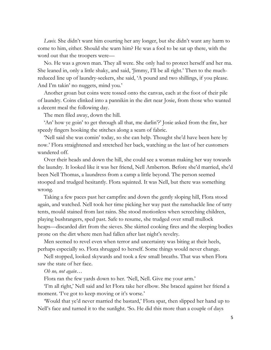*Lewis.* She didn't want him courting her any longer, but she didn't want any harm to come to him, either. Should she warn him? He was a fool to be sat up there, with the word out that the troopers were—

No. He was a grown man. They all were. She only had to protect herself and her ma. She leaned in, only a little shaky, and said, 'Jimmy, I'll be all right.' Then to the muchreduced line up of laundry-seekers, she said, 'A pound and two shillings, if you please. And I'm takin' no nuggets, mind you.'

Another groan but coins were tossed onto the canvas, each at the foot of their pile of laundry. Coins clinked into a pannikin in the dirt near Josie, from those who wanted a decent meal the following day.

The men filed away, down the hill.

'An' how ye goin' to get through all that, me darlin'?' Josie asked from the fire, her speedy fingers hooking the stitches along a seam of fabric.

'Nell said she was comin' today, so she can help. Thought she'd have been here by now.' Flora straightened and stretched her back, watching as the last of her customers wandered off.

Over their heads and down the hill, she could see a woman making her way towards the laundry. It looked like it was her friend, Nell Amberton. Before she'd married, she'd been Nell Thomas, a laundress from a camp a little beyond. The person seemed stooped and trudged hesitantly. Flora squinted. It was Nell, but there was something wrong.

Taking a few paces past her campfire and down the gently sloping hill, Flora stood again, and watched. Nell took her time picking her way past the ramshackle line of tatty tents, mould stained from last rains. She stood motionless when screeching children, playing bushrangers, sped past. Safe to resume, she trudged over small mullock heaps—discarded dirt from the sieves. She skirted cooking fires and the sleeping bodies prone on the dirt where men had fallen after last night's revelry.

Men seemed to revel even when terror and uncertainty was biting at their heels, perhaps especially so. Flora shrugged to herself. Some things would never change.

Nell stopped, looked skywards and took a few small breaths. That was when Flora saw the state of her face.

## *Oh no, not again…*

Flora ran the few yards down to her. 'Nell, Nell. Give me your arm.'

'I'm all right,' Nell said and let Flora take her elbow. She braced against her friend a moment. Tve got to keep moving or it's worse.'

'Would that ye'd never married the bastard,' Flora spat, then slipped her hand up to Nell's face and turned it to the sunlight. 'So. He did this more than a couple of days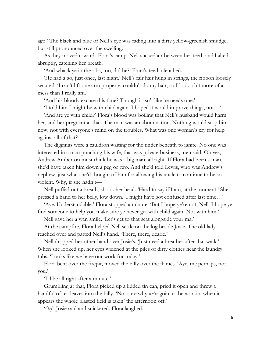ago.' The black and blue of Nell's eye was fading into a dirty yellow-greenish smudge, but still pronounced over the swelling.

As they moved towards Flora's camp. Nell sucked air between her teeth and halted abruptly, catching her breath.

'And whack ye in the ribs, too, did he?' Flora's teeth clenched.

'He had a go, just once, last night.' Nell's fair hair hung in strings, the ribbon loosely secured. 'I can't lift one arm properly, couldn't do my hair, so I look a bit more of a mess than I really am.'

'And his bloody excuse this time? Though it isn't like he needs one.'

'I told him I might be with child again. I hoped it would improve things, not—'

'And are ye with child?' Flora's blood was boiling that Nell's husband would harm her, and her pregnant at that. The man was an abomination. Nothing would stop him now, not with everyone's mind on the troubles. What was one woman's cry for help against all of that?

The diggings were a cauldron waiting for the tinder beneath to ignite. No one was interested in a man punching his wife, that was private business, men said. Oh yes, Andrew Amberton must think he was a big man, all right. If Flora had been a man, she'd have taken him down a peg or two. And she'd told Lewis, who was Andrew's nephew, just what she'd thought of him for allowing his uncle to continue to be so violent. Why, if she hadn't—

Nell puffed out a breath, shook her head. 'Hard to say if I am, at the moment.' She pressed a hand to her belly, low down. 'I might have got confused after last time…'

'Aye. Understandable.' Flora stopped a minute. 'But I hope ye're not, Nell. I hope ye find someone to help you make sure ye never get with child again. Not with him.'

Nell gave her a wan smile. 'Let's get to that seat alongside your ma.'

At the campfire, Flora helped Nell settle on the log beside Josie. The old lady reached over and patted Nell's hand. 'There, there, dearie.'

Nell dropped her other hand over Josie's. 'Just need a breather after that walk.' When she looked up, her eyes widened at the piles of dirty clothes near the laundry tubs. 'Looks like we have our work for today.'

Flora bent over the firepit, moved the billy over the flames. 'Aye, me perhaps, not you.'

'I'll be all right after a minute.'

Grumbling at that, Flora picked up a lidded tin can, pried it open and threw a handful of tea leaves into the billy. 'Not sure why *we're* goin' to be workin' when it appears the whole blasted field is takin' the afternoon off.'

'*Orf*,' Josie said and snickered. Flora laughed.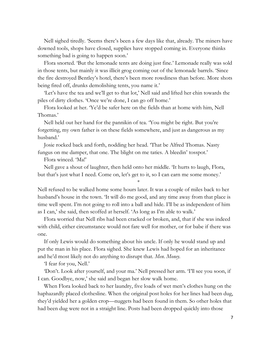Nell sighed tiredly. 'Seems there's been a few days like that, already. The miners have downed tools, shops have closed, supplies have stopped coming in. Everyone thinks something bad is going to happen soon.'

Flora snorted. 'But the lemonade tents are doing just fine.' Lemonade really was sold in those tents, but mainly it was illicit grog coming out of the lemonade barrels. 'Since the fire destroyed Bentley's hotel, there's been more rowdiness than before. More shots being fired off, drunks demolishing tents, you name it.'

'Let's have the tea and we'll get to that lot,' Nell said and lifted her chin towards the piles of dirty clothes. 'Once we're done, I can go off home.'

Flora looked at her. 'Ye'd be safer here on the fields than at home with him, Nell Thomas.'

Nell held out her hand for the pannikin of tea. 'You might be right. But you're forgetting, my own father is on these fields somewhere, and just as dangerous as my husband.'

Josie rocked back and forth, nodding her head. 'That be Alfred Thomas. Nasty fungus on me damper, that one. The blight on me taties. A bleedin' tosspot.'

Flora winced. 'Ma!'

Nell gave a shout of laughter, then held onto her middle. 'It hurts to laugh, Flora, but that's just what I need. Come on, let's get to it, so I can earn me some money.'

Nell refused to be walked home some hours later. It was a couple of miles back to her husband's house in the town. 'It will do me good, and any time away from that place is time well spent. I'm not going to roll into a ball and hide. I'll be as independent of him as I can,' she said, then scoffed at herself. 'As long as I'm able to walk.'

\*

Flora worried that Nell ribs had been cracked or broken, and, that if she was indeed with child, either circumstance would not fare well for mother, or for babe if there was one.

If only Lewis would do something about his uncle. If only he would stand up and put the man in his place. Flora sighed. She knew Lewis had hoped for an inheritance and he'd most likely not do anything to disrupt that. *Men*. *Money.*

'I fear for you, Nell.'

'Don't. Look after yourself, and your ma.' Nell pressed her arm. 'I'll see you soon, if I can. Goodbye, now,' she said and began her slow walk home.

When Flora looked back to her laundry, five loads of wet men's clothes hung on the haphazardly placed clothesline. When the original post holes for her lines had been dug, they'd yielded her a golden crop—nuggets had been found in them. So other holes that had been dug were not in a straight line. Posts had been dropped quickly into those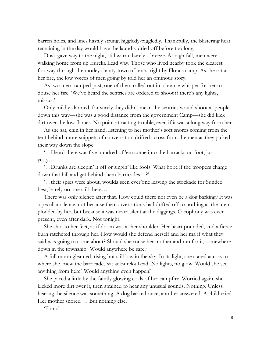barren holes, and lines hastily strung, higgledy-piggledly. Thankfully, the blistering heat remaining in the day would have the laundry dried off before too long.

Dusk gave way to the night, still warm, barely a breeze. At nightfall, men were walking home from up Eureka Lead way. Those who lived nearby took the clearest footway through the motley shanty-town of tents, right by Flora's camp. As she sat at her fire, the low voices of men going by told her an ominous story.

As two men tramped past, one of them called out in a hoarse whisper for her to douse her fire. 'We've heard the sentries are ordered to shoot if there's any lights, missus.'

Only mildly alarmed, for surely they didn't mean the sentries would shoot at people down this way—she was a good distance from the government Camp—she did kick dirt over the low flames. No point attracting trouble, even if it was a long way from her.

As she sat, chin in her hand, listening to her mother's soft snores coming from the tent behind, more snippets of conversation drifted across from the men as they picked their way down the slope.

'…Heard there was five hundred of 'em come into the barracks on foot, just yesty…'

'…Drunks are sleepin' it off or singin' like fools. What hope if the troopers charge down that hill and get behind them barricades…?'

'…their spies were about, woulda seen ever'one leaving the stockade for Sundee best, barely no one still there…'

There was only silence after that. How could there not even be a dog barking? It was a peculiar silence, not because the conversations had drifted off to nothing as the men plodded by her, but because it was never silent at the diggings. Cacophony was ever present, even after dark. Not tonight.

She shot to her feet, as if doom was at her shoulder. Her heart pounded, and a fierce burn ratcheted through her. How would she defend herself and her ma if what they said was going to come about? Should she rouse her mother and run for it, somewhere down in the township? Would anywhere be safe?

A full moon gleamed, rising but still low in the sky. In its light, she stared across to where she knew the barricades sat at Eureka Lead. No lights, no glow. Would she see anything from here? Would anything even happen?

She paced a little by the faintly glowing coals of her campfire. Worried again, she kicked more dirt over it, then strained to hear any unusual sounds. Nothing. Unless hearing the silence was something. A dog barked once, another answered. A child cried. Her mother snored … But nothing else.

'Flora.'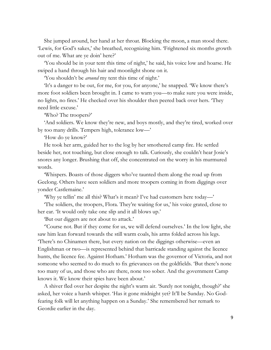She jumped around, her hand at her throat. Blocking the moon, a man stood there. 'Lewis, for God's sakes,' she breathed, recognizing him. 'Frightened six months growth out of me. What are ye doin' here?'

'You should be in your tent this time of night,' he said, his voice low and hoarse. He swiped a hand through his hair and moonlight shone on it.

'You shouldn't be *around* my tent this time of night.'

'It's a danger to be out, for me, for you, for anyone,' he snapped. 'We know there's more foot soldiers been brought in. I came to warn you—to make sure you were inside, no lights, no fires.' He checked over his shoulder then peered back over hers. 'They need little excuse.'

'Who? The troopers?'

'And soldiers. We know they're new, and boys mostly, and they're tired, worked over by too many drills. Tempers high, tolerance low—'

'How do ye know?'

He took her arm, guided her to the log by her smothered camp fire. He settled beside her, not touching, but close enough to talk. Curiously, she couldn't hear Josie's snores any longer. Brushing that off, she concentrated on the worry in his murmured words.

'Whispers. Boasts of those diggers who've taunted them along the road up from Geelong. Others have seen soldiers and more troopers coming in from diggings over yonder Castlemaine.'

'Why ye tellin' me all this? What's it mean? I've had customers here today—'

'The soldiers, the troopers, Flora. They're waiting for us,' his voice grated, close to her ear. 'It would only take one slip and it all blows up.'

'But our diggers are not about to attack.'

''Course not. But if they come for us, we will defend ourselves.' In the low light, she saw him lean forward towards the still warm coals, his arms folded across his legs. 'There's no Chinamen there, but every nation on the diggings otherwise—even an Englishman or two—is represented behind that barricade standing against the licence hunts, the licence fee. Against Hotham.' Hotham was the governor of Victoria, and not someone who seemed to do much to fix grievances on the goldfields. 'But there's none too many of us, and those who are there, none too sober. And the government Camp knows it. We know their spies have been about.'

A shiver fled over her despite the night's warm air. 'Surely not tonight, though?' she asked, her voice a harsh whisper. 'Has it gone midnight yet? It'll be Sunday. No Godfearing folk will let anything happen on a Sunday.' She remembered her remark to Geordie earlier in the day.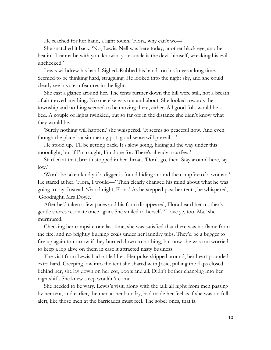He reached for her hand, a light touch. 'Flora, why can't we—'

She snatched it back. 'No, Lewis. Nell was here today, another black eye, another beatin'. I canna be with you, knowin' your uncle is the devil himself, wreaking his evil unchecked.'

Lewis withdrew his hand. Sighed. Rubbed his hands on his knees a long time. Seemed to be thinking hard, struggling. He looked into the night sky, and she could clearly see his stern features in the light.

She cast a glance around her. The tents further down the hill were still, not a breath of air moved anything. No one else was out and about. She looked towards the township and nothing seemed to be moving there, either. All good folk would be abed. A couple of lights twinkled, but so far off in the distance she didn't know what they would be.

'Surely nothing will happen,' she whispered. 'It seems so peaceful now. And even though the place is a simmering pot, good sense will prevail—'

He stood up. 'I'll be getting back. It's slow going, hiding all the way under this moonlight, but if I'm caught, I'm done for. There's already a curfew.'

Startled at that, breath stopped in her throat. 'Don't go, then. Stay around here, lay low.'

'Won't be taken kindly if a digger is found hiding around the campfire of a woman.' He stared at her. 'Flora, I would—' Then clearly changed his mind about what he was going to say. Instead, 'Good night, Flora.' As he stepped past her tents, he whispered, 'Goodnight, Mrs Doyle.'

After he'd taken a few paces and his form disappeared, Flora heard her mother's gentle snores resonate once again. She smiled to herself. 'I love ye, too, Ma,' she murmured.

Checking her campsite one last time, she was satisfied that there was no flame from the fire, and no brightly burning coals under her laundry tubs. They'd be a bugger to fire up again tomorrow if they burned down to nothing, but now she was too worried to keep a log alive on them in case it attracted nasty business.

The visit from Lewis had rattled her. Her pulse skipped around, her heart pounded extra hard. Creeping low into the tent she shared with Josie, pulling the flaps closed behind her, she lay down on her cot, boots and all. Didn't bother changing into her nightshift. She knew sleep wouldn't come.

She needed to be wary. Lewis's visit, along with the talk all night from men passing by her tent, and earlier, the men at her laundry, had made her feel as if she was on full alert, like those men at the barricades must feel. The sober ones, that is.